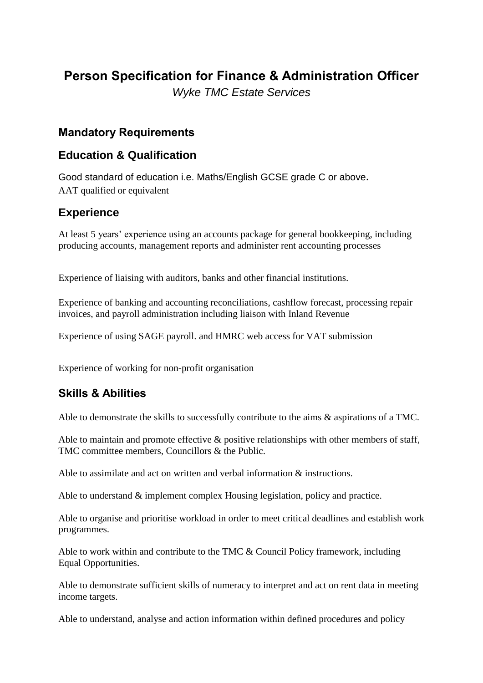# **Person Specification for Finance & Administration Officer** *Wyke TMC Estate Services*

## **Mandatory Requirements**

## **Education & Qualification**

Good standard of education i.e. Maths/English GCSE grade C or above**.** AAT qualified or equivalent

# **Experience**

At least 5 years' experience using an accounts package for general bookkeeping, including producing accounts, management reports and administer rent accounting processes

Experience of liaising with auditors, banks and other financial institutions.

Experience of banking and accounting reconciliations, cashflow forecast, processing repair invoices, and payroll administration including liaison with Inland Revenue

Experience of using SAGE payroll. and HMRC web access for VAT submission

Experience of working for non-profit organisation

# **Skills & Abilities**

Able to demonstrate the skills to successfully contribute to the aims & aspirations of a TMC.

Able to maintain and promote effective & positive relationships with other members of staff, TMC committee members, Councillors & the Public.

Able to assimilate and act on written and verbal information & instructions.

Able to understand & implement complex Housing legislation, policy and practice.

Able to organise and prioritise workload in order to meet critical deadlines and establish work programmes.

Able to work within and contribute to the TMC & Council Policy framework, including Equal Opportunities.

Able to demonstrate sufficient skills of numeracy to interpret and act on rent data in meeting income targets.

Able to understand, analyse and action information within defined procedures and policy